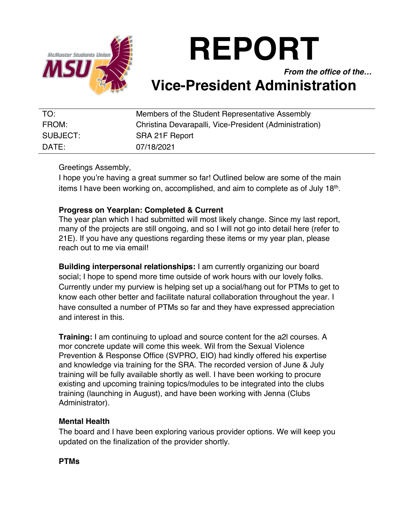

# **REPORT**

*From the office of the…*

# **Vice-President Administration**

| TO:      | Members of the Student Representative Assembly         |
|----------|--------------------------------------------------------|
| FROM:    | Christina Devarapalli, Vice-President (Administration) |
| SUBJECT: | SRA 21F Report                                         |
| $DATF^+$ | 07/18/2021                                             |

Greetings Assembly,

I hope you're having a great summer so far! Outlined below are some of the main items I have been working on, accomplished, and aim to complete as of July 18<sup>th</sup>.

# **Progress on Yearplan: Completed & Current**

The year plan which I had submitted will most likely change. Since my last report, many of the projects are still ongoing, and so I will not go into detail here (refer to 21E). If you have any questions regarding these items or my year plan, please reach out to me via email!

**Building interpersonal relationships:** I am currently organizing our board social; I hope to spend more time outside of work hours with our lovely folks. Currently under my purview is helping set up a social/hang out for PTMs to get to know each other better and facilitate natural collaboration throughout the year. I have consulted a number of PTMs so far and they have expressed appreciation and interest in this.

**Training:** I am continuing to upload and source content for the a2l courses. A mor concrete update will come this week. Wil from the Sexual Violence Prevention & Response Office (SVPRO, EIO) had kindly offered his expertise and knowledge via training for the SRA. The recorded version of June & July training will be fully available shortly as well. I have been working to procure existing and upcoming training topics/modules to be integrated into the clubs training (launching in August), and have been working with Jenna (Clubs Administrator).

## **Mental Health**

The board and I have been exploring various provider options. We will keep you updated on the finalization of the provider shortly.

## **PTMs**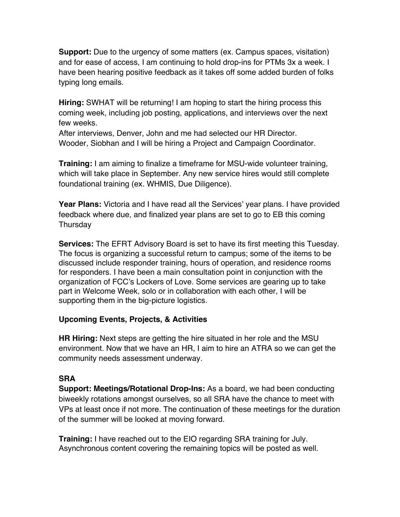**Support:** Due to the urgency of some matters (ex. Campus spaces, visitation) and for ease of access, I am continuing to hold drop-ins for PTMs 3x a week. I have been hearing positive feedback as it takes off some added burden of folks typing long emails.

**Hiring:** SWHAT will be returning! I am hoping to start the hiring process this coming week, including job posting, applications, and interviews over the next few weeks.

After interviews, Denver, John and me had selected our HR Director. Wooder, Siobhan and I will be hiring a Project and Campaign Coordinator.

**Training:** I am aiming to finalize a timeframe for MSU-wide volunteer training, which will take place in September. Any new service hires would still complete foundational training (ex. WHMIS, Due Diligence).

**Year Plans:** Victoria and I have read all the Services' year plans. I have provided feedback where due, and finalized year plans are set to go to EB this coming Thursday

**Services:** The EFRT Advisory Board is set to have its first meeting this Tuesday. The focus is organizing a successful return to campus; some of the items to be discussed include responder training, hours of operation, and residence rooms for responders. I have been a main consultation point in conjunction with the organization of FCC's Lockers of Love. Some services are gearing up to take part in Welcome Week, solo or in collaboration with each other, I will be supporting them in the big-picture logistics.

# **Upcoming Events, Projects, & Activities**

**HR Hiring:** Next steps are getting the hire situated in her role and the MSU environment. Now that we have an HR, I aim to hire an ATRA so we can get the community needs assessment underway.

# **SRA**

**Support: Meetings/Rotational Drop-Ins:** As a board, we had been conducting biweekly rotations amongst ourselves, so all SRA have the chance to meet with VPs at least once if not more. The continuation of these meetings for the duration of the summer will be looked at moving forward.

**Training:** I have reached out to the EIO regarding SRA training for July. Asynchronous content covering the remaining topics will be posted as well.